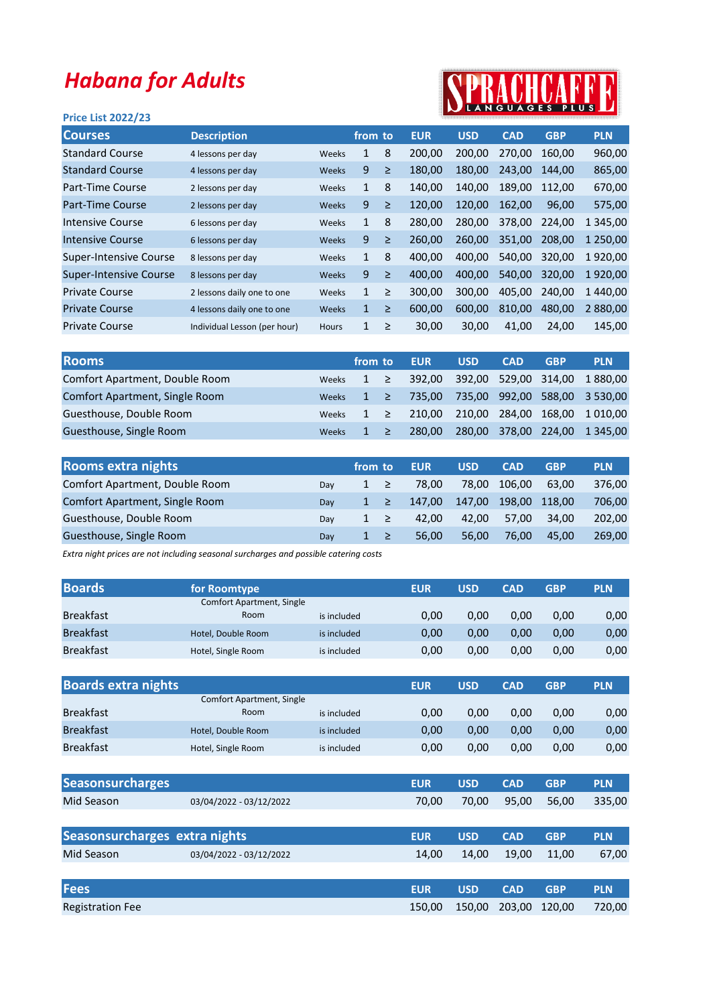## Habana for Adults

## Price List 2022/23



| <b>Courses</b>                | <b>Description</b>           |              | from to      |        | <b>EUR</b> | <b>USD</b> | <b>CAD</b> | <b>GBP</b> | <b>PLN</b>    |
|-------------------------------|------------------------------|--------------|--------------|--------|------------|------------|------------|------------|---------------|
| <b>Standard Course</b>        | 4 lessons per day            | Weeks        | 1            | 8      | 200,00     | 200,00     | 270.00     | 160,00     | 960,00        |
| <b>Standard Course</b>        | 4 lessons per day            | Weeks        | 9            | ≥      | 180,00     | 180,00     | 243,00     | 144,00     | 865,00        |
| Part-Time Course              | 2 lessons per day            | Weeks        | $\mathbf{1}$ | 8      | 140,00     | 140,00     | 189.00     | 112,00     | 670,00        |
| <b>Part-Time Course</b>       | 2 lessons per day            | Weeks        | 9            | $\geq$ | 120,00     | 120,00     | 162.00     | 96,00      | 575,00        |
| Intensive Course              | 6 lessons per day            | Weeks        | $\mathbf{1}$ | 8      | 280,00     | 280,00     | 378,00     | 224,00     | 1 3 4 5 , 0 0 |
| <b>Intensive Course</b>       | 6 lessons per day            | Weeks        | 9            | ≥      | 260,00     | 260,00     | 351,00     | 208,00     | 1 250,00      |
| Super-Intensive Course        | 8 lessons per day            | Weeks        | $\mathbf{1}$ | 8      | 400,00     | 400,00     | 540,00     | 320,00     | 1920,00       |
| <b>Super-Intensive Course</b> | 8 lessons per day            | Weeks        | 9            | $\geq$ | 400,00     | 400,00     | 540,00     | 320,00     | 1920,00       |
| <b>Private Course</b>         | 2 lessons daily one to one   | Weeks        | $\mathbf{1}$ | ≥      | 300,00     | 300,00     | 405,00     | 240,00     | 440,00<br>1   |
| <b>Private Course</b>         | 4 lessons daily one to one   | Weeks        | $\mathbf{1}$ | ≥      | 600,00     | 600,00     | 810,00     | 480,00     | 2 880,00      |
| <b>Private Course</b>         | Individual Lesson (per hour) | <b>Hours</b> | $\mathbf{1}$ | ≥      | 30,00      | 30,00      | 41,00      | 24,00      | 145,00        |
|                               |                              |              |              |        |            |            |            |            |               |

| <b>Rooms</b>                   |              | from to |  | <b>EUR</b> | <b>USD</b>           | <b>CAD</b> | <b>GBP</b> | <b>PLN</b>                           |
|--------------------------------|--------------|---------|--|------------|----------------------|------------|------------|--------------------------------------|
| Comfort Apartment, Double Room | Weeks        | $1 \ge$ |  |            |                      |            |            | 392,00 392,00 529,00 314,00 1880,00  |
| Comfort Apartment, Single Room | Weeks        | $1 \ge$ |  |            |                      |            |            | 735,00 735,00 992,00 588,00 3 530,00 |
| Guesthouse, Double Room        | Weeks        | $1 \ge$ |  | 210.00     | 210,00 284,00 168,00 |            |            | 1 010.00                             |
| Guesthouse, Single Room        | <b>Weeks</b> | $1 \ge$ |  | 280.00     |                      |            |            | 280,00 378,00 224,00 1345,00         |

| <b>Rooms extra nights</b>      |     | from to  | <b>EUR</b> | <b>USD</b> | <b>CAD</b>    | <b>GBP</b> | <b>PLN</b> |
|--------------------------------|-----|----------|------------|------------|---------------|------------|------------|
| Comfort Apartment, Double Room | Dav | $1 \geq$ | 78.00      | 78.00      | 106.00        | 63.00      | 376,00     |
| Comfort Apartment, Single Room | Dav | $1 \geq$ | 147.00     | 147,00     | 198,00 118,00 |            | 706,00     |
| Guesthouse, Double Room        | Dav | $1 \geq$ | 42.00      | 42.00      | 57.00         | 34.00      | 202.00     |
| Guesthouse, Single Room        | Dav |          | 56.00      | 56.00      | 76.00         | 45.00      | 269.00     |

Extra night prices are not including seasonal surcharges and possible catering costs

| <b>Boards</b>                 | for Roomtype                     |             | <b>EUR</b> | <b>USD</b> | <b>CAD</b> | <b>GBP</b> | <b>PLN</b> |
|-------------------------------|----------------------------------|-------------|------------|------------|------------|------------|------------|
|                               | <b>Comfort Apartment, Single</b> |             |            |            |            |            |            |
| <b>Breakfast</b>              | Room                             | is included | 0,00       | 0,00       | 0,00       | 0,00       | 0,00       |
| <b>Breakfast</b>              | Hotel, Double Room               | is included | 0,00       | 0,00       | 0,00       | 0,00       | 0,00       |
| <b>Breakfast</b>              | Hotel, Single Room               | is included | 0,00       | 0,00       | 0,00       | 0,00       | 0,00       |
|                               |                                  |             |            |            |            |            |            |
| <b>Boards extra nights</b>    |                                  |             | <b>EUR</b> | <b>USD</b> | <b>CAD</b> | <b>GBP</b> | <b>PLN</b> |
|                               | <b>Comfort Apartment, Single</b> |             |            |            |            |            |            |
| <b>Breakfast</b>              | Room                             | is included | 0,00       | 0,00       | 0,00       | 0,00       | 0,00       |
| <b>Breakfast</b>              | Hotel, Double Room               | is included | 0,00       | 0,00       | 0,00       | 0,00       | 0,00       |
| <b>Breakfast</b>              | Hotel, Single Room               | is included | 0,00       | 0,00       | 0,00       | 0,00       | 0,00       |
|                               |                                  |             |            |            |            |            |            |
| <b>Seasonsurcharges</b>       |                                  |             | <b>EUR</b> | <b>USD</b> | <b>CAD</b> | <b>GBP</b> | <b>PLN</b> |
| Mid Season                    | 03/04/2022 - 03/12/2022          |             | 70,00      | 70,00      | 95,00      | 56,00      | 335,00     |
|                               |                                  |             |            |            |            |            |            |
| Seasonsurcharges extra nights |                                  |             | <b>EUR</b> | <b>USD</b> | <b>CAD</b> | <b>GBP</b> | <b>PLN</b> |
| Mid Season                    | 03/04/2022 - 03/12/2022          |             | 14,00      | 14,00      | 19,00      | 11,00      | 67,00      |
|                               |                                  |             |            |            |            |            |            |
| <b>Fees</b>                   |                                  |             | <b>EUR</b> | <b>USD</b> | <b>CAD</b> | <b>GBP</b> | <b>PLN</b> |
| <b>Registration Fee</b>       |                                  |             | 150,00     | 150,00     | 203,00     | 120,00     | 720,00     |